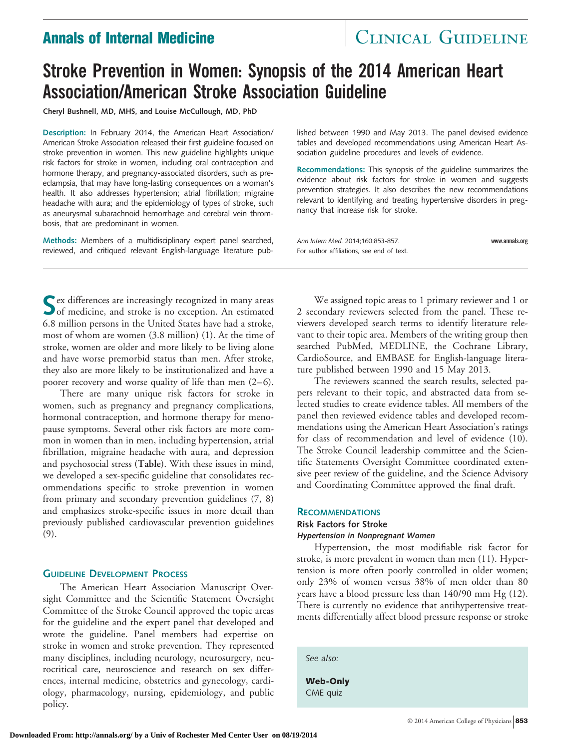# **Annals of Internal Medicine CLINICAL GUIDELINE**

# **Stroke Prevention in Women: Synopsis of the 2014 American Heart Association/American Stroke Association Guideline**

**Cheryl Bushnell, MD, MHS, and Louise McCullough, MD, PhD**

**Description:** In February 2014, the American Heart Association/ American Stroke Association released their first guideline focused on stroke prevention in women. This new guideline highlights unique risk factors for stroke in women, including oral contraception and hormone therapy, and pregnancy-associated disorders, such as preeclampsia, that may have long-lasting consequences on a woman's health. It also addresses hypertension; atrial fibrillation; migraine headache with aura; and the epidemiology of types of stroke, such as aneurysmal subarachnoid hemorrhage and cerebral vein thrombosis, that are predominant in women.

**Methods:** Members of a multidisciplinary expert panel searched, reviewed, and critiqued relevant English-language literature published between 1990 and May 2013. The panel devised evidence tables and developed recommendations using American Heart Association guideline procedures and levels of evidence.

**Recommendations:** This synopsis of the guideline summarizes the evidence about risk factors for stroke in women and suggests prevention strategies. It also describes the new recommendations relevant to identifying and treating hypertensive disorders in pregnancy that increase risk for stroke.

*Ann Intern Med.* 2014;160:853-857. **www.annals.org** For author affiliations, see end of text.

Sex differences are increasingly recognized in many areas<br>of medicine, and stroke is no exception. An estimated 6.8 million persons in the United States have had a stroke, most of whom are women (3.8 million) (1). At the time of stroke, women are older and more likely to be living alone and have worse premorbid status than men. After stroke, they also are more likely to be institutionalized and have a poorer recovery and worse quality of life than men (2–6).

There are many unique risk factors for stroke in women, such as pregnancy and pregnancy complications, hormonal contraception, and hormone therapy for menopause symptoms. Several other risk factors are more common in women than in men, including hypertension, atrial fibrillation, migraine headache with aura, and depression and psychosocial stress (**Table**). With these issues in mind, we developed a sex-specific guideline that consolidates recommendations specific to stroke prevention in women from primary and secondary prevention guidelines (7, 8) and emphasizes stroke-specific issues in more detail than previously published cardiovascular prevention guidelines (9).

# **GUIDELINE DEVELOPMENT PROCESS**

The American Heart Association Manuscript Oversight Committee and the Scientific Statement Oversight Committee of the Stroke Council approved the topic areas for the guideline and the expert panel that developed and wrote the guideline. Panel members had expertise on stroke in women and stroke prevention. They represented many disciplines, including neurology, neurosurgery, neurocritical care, neuroscience and research on sex differences, internal medicine, obstetrics and gynecology, cardiology, pharmacology, nursing, epidemiology, and public policy.

We assigned topic areas to 1 primary reviewer and 1 or 2 secondary reviewers selected from the panel. These reviewers developed search terms to identify literature relevant to their topic area. Members of the writing group then searched PubMed, MEDLINE, the Cochrane Library, CardioSource, and EMBASE for English-language literature published between 1990 and 15 May 2013.

The reviewers scanned the search results, selected papers relevant to their topic, and abstracted data from selected studies to create evidence tables. All members of the panel then reviewed evidence tables and developed recommendations using the American Heart Association's ratings for class of recommendation and level of evidence (10). The Stroke Council leadership committee and the Scientific Statements Oversight Committee coordinated extensive peer review of the guideline, and the Science Advisory and Coordinating Committee approved the final draft.

#### **RECOMMENDATIONS**

### **Risk Factors for Stroke**

# **Hypertension in Nonpregnant Women**

Hypertension, the most modifiable risk factor for stroke, is more prevalent in women than men (11). Hypertension is more often poorly controlled in older women; only 23% of women versus 38% of men older than 80 years have a blood pressure less than 140/90 mm Hg (12). There is currently no evidence that antihypertensive treatments differentially affect blood pressure response or stroke

*See also:*

**Web-Only** CME quiz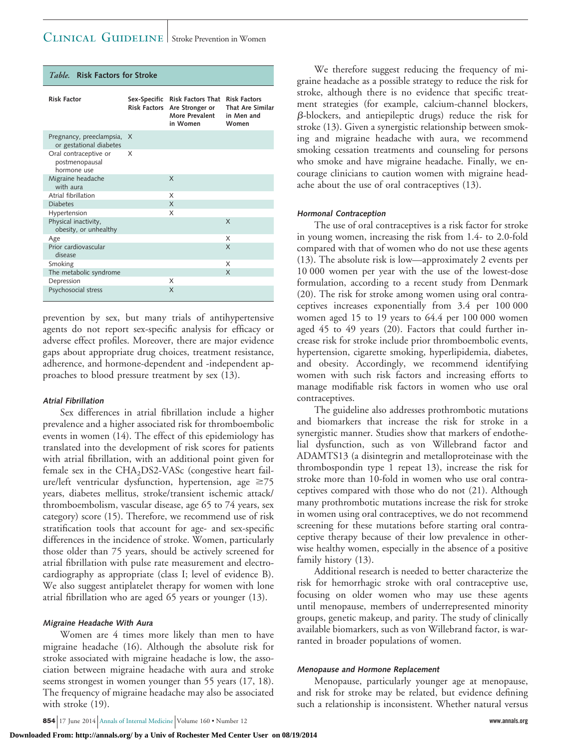| <i>Table.</i> Risk Factors for Stroke                  |   |                                                                                              |                                                                |
|--------------------------------------------------------|---|----------------------------------------------------------------------------------------------|----------------------------------------------------------------|
| <b>Risk Factor</b>                                     |   | Sex-Specific Risk Factors That<br>Risk Factors Are Stronger or<br>More Prevalent<br>in Women | <b>Risk Factors</b><br>That Are Similar<br>in Men and<br>Women |
| Pregnancy, preeclampsia,<br>or gestational diabetes    | X |                                                                                              |                                                                |
| Oral contraceptive or<br>postmenopausal<br>hormone use | X |                                                                                              |                                                                |
| Migraine headache<br>with aura                         |   | X                                                                                            |                                                                |
| Atrial fibrillation                                    |   | X                                                                                            |                                                                |
| <b>Diabetes</b>                                        |   | X                                                                                            |                                                                |
| Hypertension                                           |   | X                                                                                            |                                                                |
| Physical inactivity,<br>obesity, or unhealthy          |   |                                                                                              | X                                                              |
| Age                                                    |   |                                                                                              | X                                                              |
| Prior cardiovascular<br>disease                        |   |                                                                                              | X                                                              |
| Smoking                                                |   |                                                                                              | X                                                              |
| The metabolic syndrome                                 |   |                                                                                              | X                                                              |
| Depression                                             |   | X                                                                                            |                                                                |
| Psychosocial stress                                    |   | X                                                                                            |                                                                |

prevention by sex, but many trials of antihypertensive agents do not report sex-specific analysis for efficacy or adverse effect profiles. Moreover, there are major evidence gaps about appropriate drug choices, treatment resistance, adherence, and hormone-dependent and -independent approaches to blood pressure treatment by sex (13).

# **Atrial Fibrillation**

Sex differences in atrial fibrillation include a higher prevalence and a higher associated risk for thromboembolic events in women (14). The effect of this epidemiology has translated into the development of risk scores for patients with atrial fibrillation, with an additional point given for female sex in the CHA<sub>2</sub>DS2-VASc (congestive heart failure/left ventricular dysfunction, hypertension, age  $\geq 75$ years, diabetes mellitus, stroke/transient ischemic attack/ thromboembolism, vascular disease, age 65 to 74 years, sex category) score (15). Therefore, we recommend use of risk stratification tools that account for age- and sex-specific differences in the incidence of stroke. Women, particularly those older than 75 years, should be actively screened for atrial fibrillation with pulse rate measurement and electrocardiography as appropriate (class I; level of evidence B). We also suggest antiplatelet therapy for women with lone atrial fibrillation who are aged 65 years or younger (13).

# **Migraine Headache With Aura**

Women are 4 times more likely than men to have migraine headache (16). Although the absolute risk for stroke associated with migraine headache is low, the association between migraine headache with aura and stroke seems strongest in women younger than 55 years (17, 18). The frequency of migraine headache may also be associated with stroke (19).

We therefore suggest reducing the frequency of migraine headache as a possible strategy to reduce the risk for stroke, although there is no evidence that specific treatment strategies (for example, calcium-channel blockers, -blockers, and antiepileptic drugs) reduce the risk for stroke (13). Given a synergistic relationship between smoking and migraine headache with aura, we recommend smoking cessation treatments and counseling for persons who smoke and have migraine headache. Finally, we encourage clinicians to caution women with migraine headache about the use of oral contraceptives (13).

# **Hormonal Contraception**

The use of oral contraceptives is a risk factor for stroke in young women, increasing the risk from 1.4- to 2.0-fold compared with that of women who do not use these agents (13). The absolute risk is low—approximately 2 events per 10 000 women per year with the use of the lowest-dose formulation, according to a recent study from Denmark (20). The risk for stroke among women using oral contraceptives increases exponentially from 3.4 per 100 000 women aged 15 to 19 years to 64.4 per 100 000 women aged 45 to 49 years (20). Factors that could further increase risk for stroke include prior thromboembolic events, hypertension, cigarette smoking, hyperlipidemia, diabetes, and obesity. Accordingly, we recommend identifying women with such risk factors and increasing efforts to manage modifiable risk factors in women who use oral contraceptives.

The guideline also addresses prothrombotic mutations and biomarkers that increase the risk for stroke in a synergistic manner. Studies show that markers of endothelial dysfunction, such as von Willebrand factor and ADAMTS13 (a disintegrin and metalloproteinase with the thrombospondin type 1 repeat 13), increase the risk for stroke more than 10-fold in women who use oral contraceptives compared with those who do not (21). Although many prothrombotic mutations increase the risk for stroke in women using oral contraceptives, we do not recommend screening for these mutations before starting oral contraceptive therapy because of their low prevalence in otherwise healthy women, especially in the absence of a positive family history (13).

Additional research is needed to better characterize the risk for hemorrhagic stroke with oral contraceptive use, focusing on older women who may use these agents until menopause, members of underrepresented minority groups, genetic makeup, and parity. The study of clinically available biomarkers, such as von Willebrand factor, is warranted in broader populations of women.

# **Menopause and Hormone Replacement**

Menopause, particularly younger age at menopause, and risk for stroke may be related, but evidence defining such a relationship is inconsistent. Whether natural versus

**854** 17 June 2014 Annals of Internal Medicine Volume 160 • Number 12 **www.annals.org**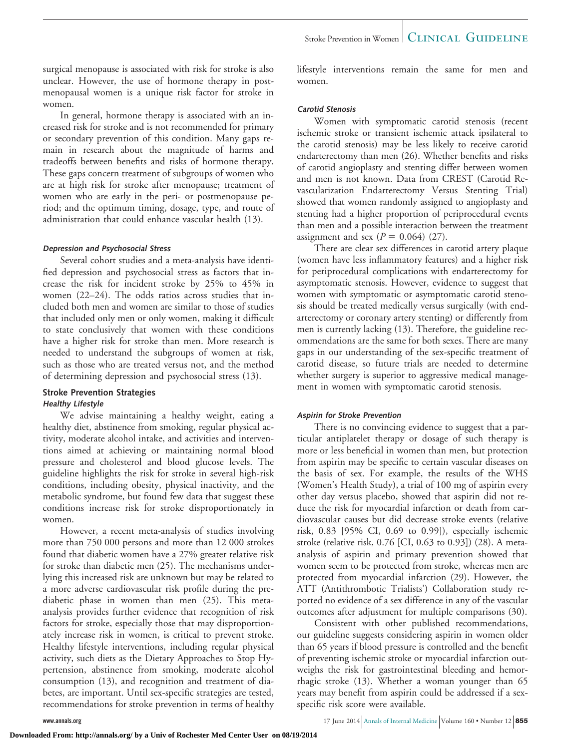surgical menopause is associated with risk for stroke is also unclear. However, the use of hormone therapy in postmenopausal women is a unique risk factor for stroke in women.

In general, hormone therapy is associated with an increased risk for stroke and is not recommended for primary or secondary prevention of this condition. Many gaps remain in research about the magnitude of harms and tradeoffs between benefits and risks of hormone therapy. These gaps concern treatment of subgroups of women who are at high risk for stroke after menopause; treatment of women who are early in the peri- or postmenopause period; and the optimum timing, dosage, type, and route of administration that could enhance vascular health (13).

# **Depression and Psychosocial Stress**

Several cohort studies and a meta-analysis have identified depression and psychosocial stress as factors that increase the risk for incident stroke by 25% to 45% in women (22–24). The odds ratios across studies that included both men and women are similar to those of studies that included only men or only women, making it difficult to state conclusively that women with these conditions have a higher risk for stroke than men. More research is needed to understand the subgroups of women at risk, such as those who are treated versus not, and the method of determining depression and psychosocial stress (13).

# **Stroke Prevention Strategies**

# **Healthy Lifestyle**

We advise maintaining a healthy weight, eating a healthy diet, abstinence from smoking, regular physical activity, moderate alcohol intake, and activities and interventions aimed at achieving or maintaining normal blood pressure and cholesterol and blood glucose levels. The guideline highlights the risk for stroke in several high-risk conditions, including obesity, physical inactivity, and the metabolic syndrome, but found few data that suggest these conditions increase risk for stroke disproportionately in women.

However, a recent meta-analysis of studies involving more than 750 000 persons and more than 12 000 strokes found that diabetic women have a 27% greater relative risk for stroke than diabetic men (25). The mechanisms underlying this increased risk are unknown but may be related to a more adverse cardiovascular risk profile during the prediabetic phase in women than men (25). This metaanalysis provides further evidence that recognition of risk factors for stroke, especially those that may disproportionately increase risk in women, is critical to prevent stroke. Healthy lifestyle interventions, including regular physical activity, such diets as the Dietary Approaches to Stop Hypertension, abstinence from smoking, moderate alcohol consumption (13), and recognition and treatment of diabetes, are important. Until sex-specific strategies are tested, recommendations for stroke prevention in terms of healthy

lifestyle interventions remain the same for men and women.

#### **Carotid Stenosis**

Women with symptomatic carotid stenosis (recent ischemic stroke or transient ischemic attack ipsilateral to the carotid stenosis) may be less likely to receive carotid endarterectomy than men (26). Whether benefits and risks of carotid angioplasty and stenting differ between women and men is not known. Data from CREST (Carotid Revascularization Endarterectomy Versus Stenting Trial) showed that women randomly assigned to angioplasty and stenting had a higher proportion of periprocedural events than men and a possible interaction between the treatment assignment and sex  $(P = 0.064)$  (27).

There are clear sex differences in carotid artery plaque (women have less inflammatory features) and a higher risk for periprocedural complications with endarterectomy for asymptomatic stenosis. However, evidence to suggest that women with symptomatic or asymptomatic carotid stenosis should be treated medically versus surgically (with endarterectomy or coronary artery stenting) or differently from men is currently lacking (13). Therefore, the guideline recommendations are the same for both sexes. There are many gaps in our understanding of the sex-specific treatment of carotid disease, so future trials are needed to determine whether surgery is superior to aggressive medical management in women with symptomatic carotid stenosis.

### **Aspirin for Stroke Prevention**

There is no convincing evidence to suggest that a particular antiplatelet therapy or dosage of such therapy is more or less beneficial in women than men, but protection from aspirin may be specific to certain vascular diseases on the basis of sex. For example, the results of the WHS (Women's Health Study), a trial of 100 mg of aspirin every other day versus placebo, showed that aspirin did not reduce the risk for myocardial infarction or death from cardiovascular causes but did decrease stroke events (relative risk, 0.83 [95% CI, 0.69 to 0.99]), especially ischemic stroke (relative risk, 0.76 [CI, 0.63 to 0.93]) (28). A metaanalysis of aspirin and primary prevention showed that women seem to be protected from stroke, whereas men are protected from myocardial infarction (29). However, the ATT (Antithrombotic Trialists') Collaboration study reported no evidence of a sex difference in any of the vascular outcomes after adjustment for multiple comparisons (30).

Consistent with other published recommendations, our guideline suggests considering aspirin in women older than 65 years if blood pressure is controlled and the benefit of preventing ischemic stroke or myocardial infarction outweighs the risk for gastrointestinal bleeding and hemorrhagic stroke (13). Whether a woman younger than 65 years may benefit from aspirin could be addressed if a sexspecific risk score were available.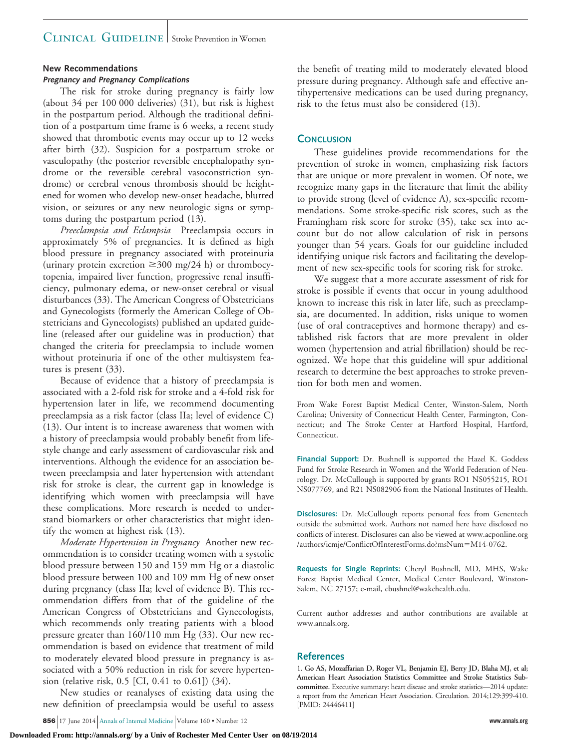# CLINICAL GUIDELINE | Stroke Prevention in Women

# **New Recommendations**

# **Pregnancy and Pregnancy Complications**

The risk for stroke during pregnancy is fairly low (about 34 per 100 000 deliveries) (31), but risk is highest in the postpartum period. Although the traditional definition of a postpartum time frame is 6 weeks, a recent study showed that thrombotic events may occur up to 12 weeks after birth (32). Suspicion for a postpartum stroke or vasculopathy (the posterior reversible encephalopathy syndrome or the reversible cerebral vasoconstriction syndrome) or cerebral venous thrombosis should be heightened for women who develop new-onset headache, blurred vision, or seizures or any new neurologic signs or symptoms during the postpartum period (13).

*Preeclampsia and Eclampsia* Preeclampsia occurs in approximately 5% of pregnancies. It is defined as high blood pressure in pregnancy associated with proteinuria (urinary protein excretion  $\geq$  300 mg/24 h) or thrombocytopenia, impaired liver function, progressive renal insufficiency, pulmonary edema, or new-onset cerebral or visual disturbances (33). The American Congress of Obstetricians and Gynecologists (formerly the American College of Obstetricians and Gynecologists) published an updated guideline (released after our guideline was in production) that changed the criteria for preeclampsia to include women without proteinuria if one of the other multisystem features is present (33).

Because of evidence that a history of preeclampsia is associated with a 2-fold risk for stroke and a 4-fold risk for hypertension later in life, we recommend documenting preeclampsia as a risk factor (class IIa; level of evidence C) (13). Our intent is to increase awareness that women with a history of preeclampsia would probably benefit from lifestyle change and early assessment of cardiovascular risk and interventions. Although the evidence for an association between preeclampsia and later hypertension with attendant risk for stroke is clear, the current gap in knowledge is identifying which women with preeclampsia will have these complications. More research is needed to understand biomarkers or other characteristics that might identify the women at highest risk (13).

*Moderate Hypertension in Pregnancy* Another new recommendation is to consider treating women with a systolic blood pressure between 150 and 159 mm Hg or a diastolic blood pressure between 100 and 109 mm Hg of new onset during pregnancy (class IIa; level of evidence B). This recommendation differs from that of the guideline of the American Congress of Obstetricians and Gynecologists, which recommends only treating patients with a blood pressure greater than 160/110 mm Hg (33). Our new recommendation is based on evidence that treatment of mild to moderately elevated blood pressure in pregnancy is associated with a 50% reduction in risk for severe hypertension (relative risk, 0.5 [CI, 0.41 to 0.61]) (34).

New studies or reanalyses of existing data using the new definition of preeclampsia would be useful to assess the benefit of treating mild to moderately elevated blood pressure during pregnancy. Although safe and effective antihypertensive medications can be used during pregnancy, risk to the fetus must also be considered (13).

# **CONCLUSION**

These guidelines provide recommendations for the prevention of stroke in women, emphasizing risk factors that are unique or more prevalent in women. Of note, we recognize many gaps in the literature that limit the ability to provide strong (level of evidence A), sex-specific recommendations. Some stroke-specific risk scores, such as the Framingham risk score for stroke (35), take sex into account but do not allow calculation of risk in persons younger than 54 years. Goals for our guideline included identifying unique risk factors and facilitating the development of new sex-specific tools for scoring risk for stroke.

We suggest that a more accurate assessment of risk for stroke is possible if events that occur in young adulthood known to increase this risk in later life, such as preeclampsia, are documented. In addition, risks unique to women (use of oral contraceptives and hormone therapy) and established risk factors that are more prevalent in older women (hypertension and atrial fibrillation) should be recognized. We hope that this guideline will spur additional research to determine the best approaches to stroke prevention for both men and women.

From Wake Forest Baptist Medical Center, Winston-Salem, North Carolina; University of Connecticut Health Center, Farmington, Connecticut; and The Stroke Center at Hartford Hospital, Hartford, Connecticut.

**Financial Support:** Dr. Bushnell is supported the Hazel K. Goddess Fund for Stroke Research in Women and the World Federation of Neurology. Dr. McCullough is supported by grants RO1 NS055215, RO1 NS077769, and R21 NS082906 from the National Institutes of Health.

**Disclosures:** Dr. McCullough reports personal fees from Genentech outside the submitted work. Authors not named here have disclosed no conflicts of interest. Disclosures can also be viewed at [www.acponline.org](http://www.acponline.org/authors/icmje/ConflictOfInterestForms.do?msNum=M14-0762) [/authors/icmje/ConflictOfInterestForms.do?msNum](http://www.acponline.org/authors/icmje/ConflictOfInterestForms.do?msNum=M14-0762)-M14-0762.

**Requests for Single Reprints:** Cheryl Bushnell, MD, MHS, Wake Forest Baptist Medical Center, Medical Center Boulevard, Winston-Salem, NC 27157; e-mail, [cbushnel@wakehealth.edu.](mailto:cbushnel@wakehealth.edu)

Current author addresses and author contributions are available at [www.annals.org.](http://www.annals.org)

# **References**

1. **Go AS, Mozaffarian D, Roger VL, Benjamin EJ, Berry JD, Blaha MJ, et al; American Heart Association Statistics Committee and Stroke Statistics Subcommittee.** Executive summary: heart disease and stroke statistics—2014 update: a report from the American Heart Association. Circulation. 2014;129:399-410. [PMID: 24446411]

**856** 17 June 2014 Annals of Internal Medicine Volume 160 • Number 12 **www.annals.org**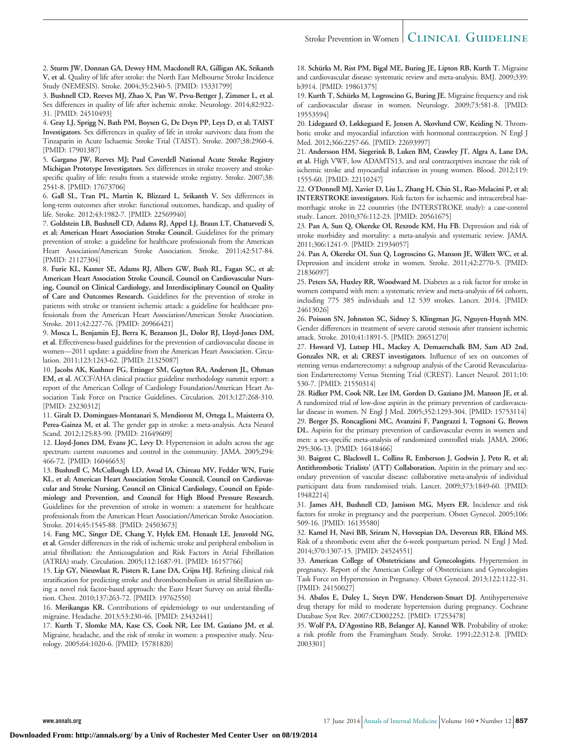# Stroke Prevention in Women CLINICAL GUIDELINE

2. **Sturm JW, Donnan GA, Dewey HM, Macdonell RA, Gilligan AK, Srikanth V, et al.** Quality of life after stroke: the North East Melbourne Stroke Incidence Study (NEMESIS). Stroke. 2004;35:2340-5. [PMID: 15331799]

3. **Bushnell CD, Reeves MJ, Zhao X, Pan W, Prvu-Bettger J, Zimmer L, et al.** Sex differences in quality of life after ischemic stroke. Neurology. 2014;82:922- 31. [PMID: 24510493]

4. **Gray LJ, Sprigg N, Bath PM, Boysen G, De Deyn PP, Leys D, et al; TAIST Investigators.** Sex differences in quality of life in stroke survivors: data from the Tinzaparin in Acute Ischaemic Stroke Trial (TAIST). Stroke. 2007;38:2960-4. [PMID: 17901387]

5. **Gargano JW, Reeves MJ; Paul Coverdell National Acute Stroke Registry Michigan Prototype Investigators.** Sex differences in stroke recovery and strokespecific quality of life: results from a statewide stroke registry. Stroke. 2007;38: 2541-8. [PMID: 17673706]

6. **Gall SL, Tran PL, Martin K, Blizzard L, Srikanth V.** Sex differences in long-term outcomes after stroke: functional outcomes, handicap, and quality of life. Stroke. 2012;43:1982-7. [PMID: 22569940]

7. **Goldstein LB, Bushnell CD, Adams RJ, Appel LJ, Braun LT, Chaturvedi S, et al; American Heart Association Stroke Council.** Guidelines for the primary prevention of stroke: a guideline for healthcare professionals from the American Heart Association/American Stroke Association. Stroke. 2011;42:517-84. [PMID: 21127304]

8. **Furie KL, Kasner SE, Adams RJ, Albers GW, Bush RL, Fagan SC, et al; American Heart Association Stroke Council, Council on Cardiovascular Nursing, Council on Clinical Cardiology, and Interdisciplinary Council on Quality of Care and Outcomes Research.** Guidelines for the prevention of stroke in patients with stroke or transient ischemic attack: a guideline for healthcare professionals from the American Heart Association/American Stroke Association. Stroke. 2011;42:227-76. [PMID: 20966421]

9. **Mosca L, Benjamin EJ, Berra K, Bezanson JL, Dolor RJ, Lloyd-Jones DM, et al.** Effectiveness-based guidelines for the prevention of cardiovascular disease in women—2011 update: a guideline from the American Heart Association. Circulation. 2011;123:1243-62. [PMID: 21325087]

10. **Jacobs AK, Kushner FG, Ettinger SM, Guyton RA, Anderson JL, Ohman EM, et al.** ACCF/AHA clinical practice guideline methodology summit report: a report of the American College of Cardiology Foundation/American Heart Association Task Force on Practice Guidelines. Circulation. 2013;127:268-310. [PMID: 23230312]

11. **Giralt D, Domingues-Montanari S, Mendioroz M, Ortega L, Maisterra O, Perea-Gainza M, et al.** The gender gap in stroke: a meta-analysis. Acta Neurol Scand. 2012;125:83-90. [PMID: 21649609]

12. **Lloyd-Jones DM, Evans JC, Levy D.** Hypertension in adults across the age spectrum: current outcomes and control in the community. JAMA. 2005;294: 466-72. [PMID: 16046653]

13. **Bushnell C, McCullough LD, Awad IA, Chireau MV, Fedder WN, Furie KL, et al; American Heart Association Stroke Council, Council on Cardiovascular and Stroke Nursing, Council on Clinical Cardiology, Council on Epidemiology and Prevention, and Council for High Blood Pressure Research.** Guidelines for the prevention of stroke in women: a statement for healthcare professionals from the American Heart Association/American Stroke Association. Stroke. 2014;45:1545-88. [PMID: 24503673]

14. **Fang MC, Singer DE, Chang Y, Hylek EM, Henault LE, Jensvold NG, et al.** Gender differences in the risk of ischemic stroke and peripheral embolism in atrial fibrillation: the Anticoagulation and Risk Factors in Atrial Fibrillation (ATRIA) study. Circulation. 2005;112:1687-91. [PMID: 16157766]

15. **Lip GY, Nieuwlaat R, Pisters R, Lane DA, Crijns HJ.** Refining clinical risk stratification for predicting stroke and thromboembolism in atrial fibrillation using a novel risk factor-based approach: the Euro Heart Survey on atrial fibrillation. Chest. 2010;137:263-72. [PMID: 19762550]

16. **Merikangas KR.** Contributions of epidemiology to our understanding of migraine. Headache. 2013;53:230-46. [PMID: 23432441]

17. **Kurth T, Slomke MA, Kase CS, Cook NR, Lee IM, Gaziano JM, et al.** Migraine, headache, and the risk of stroke in women: a prospective study. Neurology. 2005;64:1020-6. [PMID: 15781820]

18. Schürks M, Rist PM, Bigal ME, Buring JE, Lipton RB, Kurth T. Migraine and cardiovascular disease: systematic review and meta-analysis. BMJ. 2009;339: b3914. [PMID: 19861375]

19. Kurth T, Schürks M, Logroscino G, Buring JE. Migraine frequency and risk of cardiovascular disease in women. Neurology. 2009;73:581-8. [PMID: 19553594]

20. **Lidegaard Ø, Løkkegaard E, Jensen A, Skovlund CW, Keiding N.** Thrombotic stroke and myocardial infarction with hormonal contraception. N Engl J Med. 2012;366:2257-66. [PMID: 22693997]

21. **Andersson HM, Siegerink B, Luken BM, Crawley JT, Algra A, Lane DA, et al.** High VWF, low ADAMTS13, and oral contraceptives increase the risk of ischemic stroke and myocardial infarction in young women. Blood. 2012;119: 1555-60. [PMID: 22110247]

22. **O'Donnell MJ, Xavier D, Liu L, Zhang H, Chin SL, Rao-Melacini P, et al; INTERSTROKE investigators.** Risk factors for ischaemic and intracerebral haemorrhagic stroke in 22 countries (the INTERSTROKE study): a case-control study. Lancet. 2010;376:112-23. [PMID: 20561675]

23. **Pan A, Sun Q, Okereke OI, Rexrode KM, Hu FB.** Depression and risk of stroke morbidity and mortality: a meta-analysis and systematic review. JAMA. 2011;306:1241-9. [PMID: 21934057]

24. **Pan A, Okereke OI, Sun Q, Logroscino G, Manson JE, Willett WC, et al.** Depression and incident stroke in women. Stroke. 2011;42:2770-5. [PMID: 21836097]

25. **Peters SA, Huxley RR, Woodward M.** Diabetes as a risk factor for stroke in women compared with men: a systematic review and meta-analysis of 64 cohorts, including 775 385 individuals and 12 539 strokes. Lancet. 2014. [PMID: 24613026]

26. **Poisson SN, Johnston SC, Sidney S, Klingman JG, Nguyen-Huynh MN.** Gender differences in treatment of severe carotid stenosis after transient ischemic attack. Stroke. 2010;41:1891-5. [PMID: 20651270]

27. **Howard VJ, Lutsep HL, Mackey A, Demaerschalk BM, Sam AD 2nd, Gonzales NR, et al; CREST investigators.** Influence of sex on outcomes of stenting versus endarterectomy: a subgroup analysis of the Carotid Revascularization Endarterectomy Versus Stenting Trial (CREST). Lancet Neurol. 2011;10: 530-7. [PMID: 21550314]

28. **Ridker PM, Cook NR, Lee IM, Gordon D, Gaziano JM, Manson JE, et al.** A randomized trial of low-dose aspirin in the primary prevention of cardiovascular disease in women. N Engl J Med. 2005;352:1293-304. [PMID: 15753114] 29. **Berger JS, Roncaglioni MC, Avanzini F, Pangrazzi I, Tognoni G, Brown DL.** Aspirin for the primary prevention of cardiovascular events in women and men: a sex-specific meta-analysis of randomized controlled trials. JAMA. 2006; 295:306-13. [PMID: 16418466]

30. **Baigent C, Blackwell L, Collins R, Emberson J, Godwin J, Peto R, et al; Antithrombotic Trialists' (ATT) Collaboration.** Aspirin in the primary and secondary prevention of vascular disease: collaborative meta-analysis of individual participant data from randomised trials. Lancet. 2009;373:1849-60. [PMID: 19482214]

31. **James AH, Bushnell CD, Jamison MG, Myers ER.** Incidence and risk factors for stroke in pregnancy and the puerperium. Obstet Gynecol. 2005;106: 509-16. [PMID: 16135580]

32. **Kamel H, Navi BB, Sriram N, Hovsepian DA, Devereux RB, Elkind MS.** Risk of a thrombotic event after the 6-week postpartum period. N Engl J Med. 2014;370:1307-15. [PMID: 24524551]

33. **American College of Obstetricians and Gynecologists.** Hypertension in pregnancy. Report of the American College of Obstetricians and Gynecologists Task Force on Hypertension in Pregnancy. Obstet Gynecol. 2013;122:1122-31. [PMID: 24150027]

34. **Abalos E, Duley L, Steyn DW, Henderson-Smart DJ.** Antihypertensive drug therapy for mild to moderate hypertension during pregnancy. Cochrane Database Syst Rev. 2007:CD002252. [PMID: 17253478]

35. **Wolf PA, D'Agostino RB, Belanger AJ, Kannel WB.** Probability of stroke: a risk profile from the Framingham Study. Stroke. 1991;22:312-8. [PMID: 2003301]